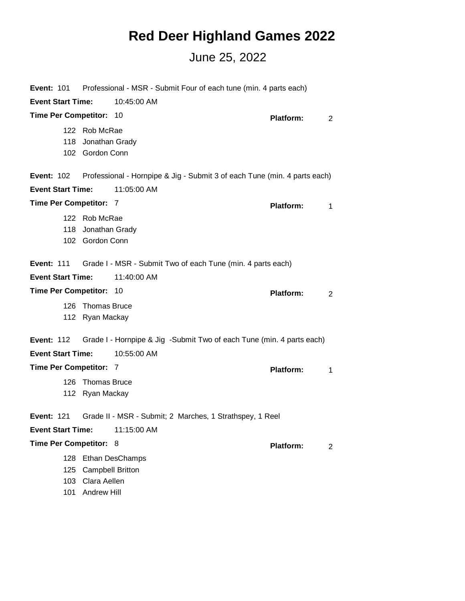## **Red Deer Highland Games 2022**

## June 25, 2022

| <b>Event: 101</b>           | Professional - MSR - Submit Four of each tune (min. 4 parts each)                 |                                    |  |
|-----------------------------|-----------------------------------------------------------------------------------|------------------------------------|--|
| <b>Event Start Time:</b>    | 10:45:00 AM                                                                       |                                    |  |
| Time Per Competitor: 10     |                                                                                   | <b>Platform:</b><br>$\overline{2}$ |  |
| 118                         | 122 Rob McRae<br>Jonathan Grady<br>102 Gordon Conn                                |                                    |  |
| <b>Event: 102</b>           | Professional - Hornpipe & Jig - Submit 3 of each Tune (min. 4 parts each)         |                                    |  |
| <b>Event Start Time:</b>    | 11:05:00 AM                                                                       |                                    |  |
| Time Per Competitor: 7      |                                                                                   | <b>Platform:</b><br>1              |  |
|                             | 122 Rob McRae<br>118 Jonathan Grady<br>102 Gordon Conn                            |                                    |  |
| <b>Event: 111</b>           | Grade I - MSR - Submit Two of each Tune (min. 4 parts each)                       |                                    |  |
| <b>Event Start Time:</b>    | 11:40:00 AM                                                                       |                                    |  |
| <b>Time Per Competitor:</b> | 10                                                                                | <b>Platform:</b><br>$\overline{2}$ |  |
|                             | 126 Thomas Bruce<br>112 Ryan Mackay                                               |                                    |  |
| <b>Event: 112</b>           | Grade I - Hornpipe & Jig -Submit Two of each Tune (min. 4 parts each)             |                                    |  |
| <b>Event Start Time:</b>    | 10:55:00 AM                                                                       |                                    |  |
| Time Per Competitor: 7      |                                                                                   | <b>Platform:</b><br>1              |  |
| 126.                        | <b>Thomas Bruce</b><br>112 Ryan Mackay                                            |                                    |  |
| <b>Event: 121</b>           | Grade II - MSR - Submit; 2 Marches, 1 Strathspey, 1 Reel                          |                                    |  |
| <b>Event Start Time:</b>    | 11:15:00 AM                                                                       |                                    |  |
| Time Per Competitor: 8      |                                                                                   | <b>Platform:</b><br>2              |  |
| 125<br>103                  | 128 Ethan DesChamps<br><b>Campbell Britton</b><br>Clara Aellen<br>101 Andrew Hill |                                    |  |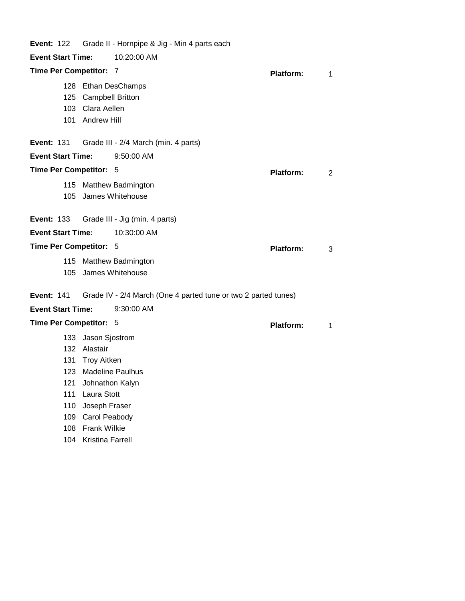| <b>Event: 122</b>        | Grade II - Hornpipe & Jig - Min 4 parts each                   |                  |   |
|--------------------------|----------------------------------------------------------------|------------------|---|
| <b>Event Start Time:</b> | 10:20:00 AM                                                    |                  |   |
| Time Per Competitor: 7   |                                                                | <b>Platform:</b> | 1 |
|                          | 128 Ethan DesChamps                                            |                  |   |
|                          | 125 Campbell Britton                                           |                  |   |
|                          | 103 Clara Aellen                                               |                  |   |
|                          | 101 Andrew Hill                                                |                  |   |
| <b>Event: 131</b>        | Grade III - 2/4 March (min. 4 parts)                           |                  |   |
| <b>Event Start Time:</b> | 9:50:00 AM                                                     |                  |   |
| Time Per Competitor: 5   |                                                                | <b>Platform:</b> | 2 |
|                          | 115 Matthew Badmington                                         |                  |   |
|                          | 105 James Whitehouse                                           |                  |   |
| <b>Event: 133</b>        | Grade III - Jig (min. 4 parts)                                 |                  |   |
| <b>Event Start Time:</b> | 10:30:00 AM                                                    |                  |   |
| Time Per Competitor: 5   |                                                                | <b>Platform:</b> | 3 |
|                          | 115 Matthew Badmington                                         |                  |   |
|                          | 105 James Whitehouse                                           |                  |   |
| <b>Event: 141</b>        | Grade IV - 2/4 March (One 4 parted tune or two 2 parted tunes) |                  |   |
| <b>Event Start Time:</b> | 9:30:00 AM                                                     |                  |   |
|                          |                                                                |                  |   |
| Time Per Competitor: 5   |                                                                | <b>Platform:</b> | 1 |
|                          | 133 Jason Sjostrom                                             |                  |   |
|                          | 132 Alastair                                                   |                  |   |
|                          | 131 Troy Aitken                                                |                  |   |
| 121                      | 123 Madeline Paulhus                                           |                  |   |
| 111                      | Johnathon Kalyn<br>Laura Stott                                 |                  |   |
| 110                      | Joseph Fraser                                                  |                  |   |
| 109                      | Carol Peabody                                                  |                  |   |
| 108                      | <b>Frank Wilkie</b>                                            |                  |   |
| 104                      | Kristina Farrell                                               |                  |   |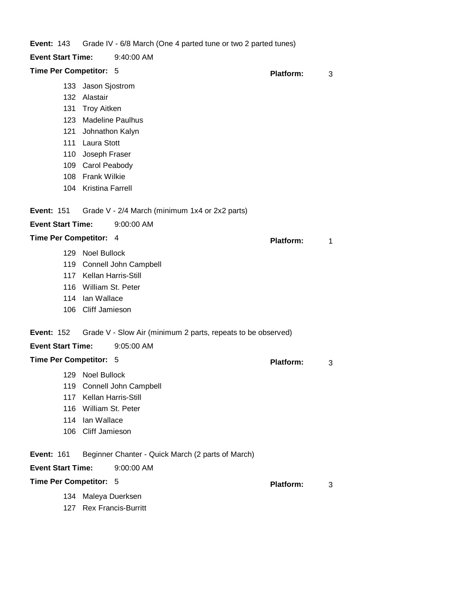**Event:** 143 Grade IV - 6/8 March (One 4 parted tune or two 2 parted tunes)

| <b>Event Start Time:</b> | 9:40:00 AM                                                   |                  |   |
|--------------------------|--------------------------------------------------------------|------------------|---|
| Time Per Competitor: 5   |                                                              | <b>Platform:</b> | 3 |
|                          | 133 Jason Sjostrom                                           |                  |   |
| 132.                     | Alastair                                                     |                  |   |
|                          | 131 Troy Aitken                                              |                  |   |
|                          | 123 Madeline Paulhus                                         |                  |   |
| 121                      | Johnathon Kalyn                                              |                  |   |
|                          | 111 Laura Stott                                              |                  |   |
|                          | 110 Joseph Fraser                                            |                  |   |
|                          | 109 Carol Peabody                                            |                  |   |
|                          | 108 Frank Wilkie                                             |                  |   |
|                          | 104 Kristina Farrell                                         |                  |   |
| <b>Event: 151</b>        | Grade V - 2/4 March (minimum 1x4 or 2x2 parts)               |                  |   |
| <b>Event Start Time:</b> | 9:00:00 AM                                                   |                  |   |
| Time Per Competitor: 4   |                                                              | <b>Platform:</b> | 1 |
|                          | 129 Noel Bullock                                             |                  |   |
|                          | 119 Connell John Campbell                                    |                  |   |
|                          | 117 Kellan Harris-Still                                      |                  |   |
|                          | 116 William St. Peter                                        |                  |   |
|                          | 114 Ian Wallace                                              |                  |   |
|                          | 106 Cliff Jamieson                                           |                  |   |
| <b>Event: 152</b>        | Grade V - Slow Air (minimum 2 parts, repeats to be observed) |                  |   |
| <b>Event Start Time:</b> | 9:05:00 AM                                                   |                  |   |
| Time Per Competitor: 5   |                                                              | <b>Platform:</b> | 3 |
|                          | 129 Noel Bullock                                             |                  |   |
|                          | 119 Connell John Campbell                                    |                  |   |
| 117                      | Kellan Harris-Still                                          |                  |   |
| 116                      | William St. Peter                                            |                  |   |
| 114                      | Ian Wallace                                                  |                  |   |
| 106                      | Cliff Jamieson                                               |                  |   |
| <b>Event: 161</b>        | Beginner Chanter - Quick March (2 parts of March)            |                  |   |
| <b>Event Start Time:</b> | 9:00:00 AM                                                   |                  |   |
| Time Per Competitor: 5   |                                                              | <b>Platform:</b> | 3 |
| 134                      | Maleya Duerksen                                              |                  |   |
| 127                      | <b>Rex Francis-Burritt</b>                                   |                  |   |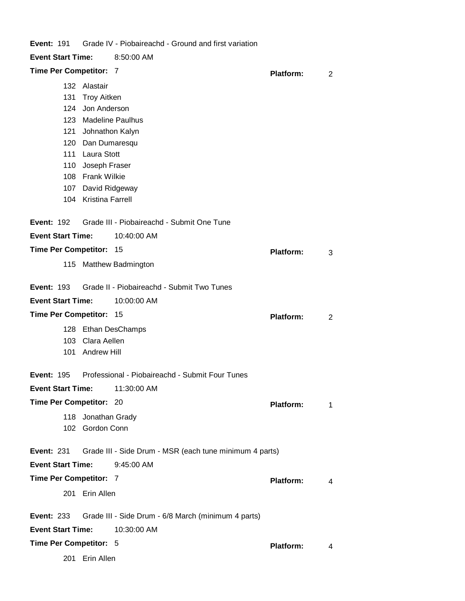**Event:** 191 Grade IV - Piobaireachd - Ground and first variation

| <b>Event Start Time:</b>    | 8:50:00 AM                                              |                  |   |
|-----------------------------|---------------------------------------------------------|------------------|---|
| Time Per Competitor: 7      |                                                         | <b>Platform:</b> | 2 |
| 132                         | Alastair                                                |                  |   |
| 131                         | <b>Troy Aitken</b>                                      |                  |   |
|                             | 124 Jon Anderson                                        |                  |   |
|                             | 123 Madeline Paulhus                                    |                  |   |
|                             | 121 Johnathon Kalyn                                     |                  |   |
|                             | 120 Dan Dumaresqu                                       |                  |   |
|                             | 111 Laura Stott                                         |                  |   |
| 110                         | Joseph Fraser                                           |                  |   |
|                             | 108 Frank Wilkie                                        |                  |   |
|                             | 107 David Ridgeway                                      |                  |   |
|                             | 104 Kristina Farrell                                    |                  |   |
| <b>Event: 192</b>           | Grade III - Piobaireachd - Submit One Tune              |                  |   |
| <b>Event Start Time:</b>    | 10:40:00 AM                                             |                  |   |
| <b>Time Per Competitor:</b> | 15                                                      | <b>Platform:</b> | 3 |
| 115                         | <b>Matthew Badmington</b>                               |                  |   |
| <b>Event: 193</b>           | Grade II - Piobaireachd - Submit Two Tunes              |                  |   |
| <b>Event Start Time:</b>    | 10:00:00 AM                                             |                  |   |
| <b>Time Per Competitor:</b> | 15                                                      | <b>Platform:</b> | 2 |
| 128                         | Ethan DesChamps                                         |                  |   |
|                             | 103 Clara Aellen                                        |                  |   |
|                             | 101 Andrew Hill                                         |                  |   |
| <b>Event: 195</b>           | Professional - Piobaireachd - Submit Four Tunes         |                  |   |
| <b>Event Start Time:</b>    | 11:30:00 AM                                             |                  |   |
| Time Per Competitor: 20     |                                                         | Platform:        | 1 |
| 118                         | Jonathan Grady                                          |                  |   |
|                             | 102 Gordon Conn                                         |                  |   |
|                             |                                                         |                  |   |
| <b>Event: 231</b>           | Grade III - Side Drum - MSR (each tune minimum 4 parts) |                  |   |
| <b>Event Start Time:</b>    | 9:45:00 AM                                              |                  |   |
| Time Per Competitor: 7      |                                                         | <b>Platform:</b> | 4 |
| 201                         | Erin Allen                                              |                  |   |
|                             |                                                         |                  |   |
| <b>Event: 233</b>           | Grade III - Side Drum - 6/8 March (minimum 4 parts)     |                  |   |
| <b>Event Start Time:</b>    | 10:30:00 AM                                             |                  |   |
|                             |                                                         |                  |   |
| Time Per Competitor: 5      | 201 Erin Allen                                          | <b>Platform:</b> | 4 |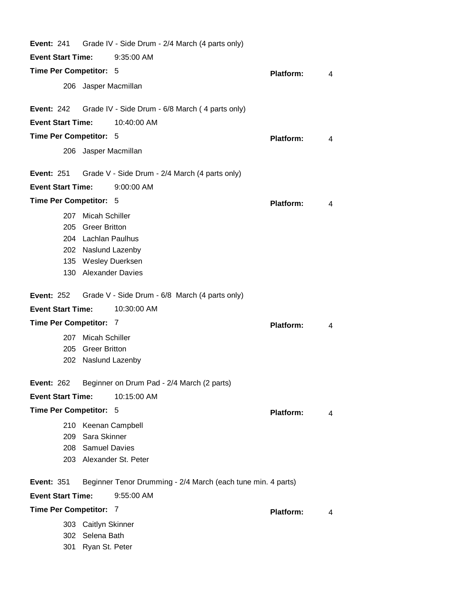| <b>Event Start Time:</b> | Grade IV - Side Drum - 2/4 March (4 parts only)              |                  |   |
|--------------------------|--------------------------------------------------------------|------------------|---|
|                          | 9:35:00 AM                                                   |                  |   |
| Time Per Competitor: 5   |                                                              | <b>Platform:</b> | 4 |
|                          | 206 Jasper Macmillan                                         |                  |   |
| <b>Event: 242</b>        | Grade IV - Side Drum - 6/8 March (4 parts only)              |                  |   |
| <b>Event Start Time:</b> | 10:40:00 AM                                                  |                  |   |
| Time Per Competitor: 5   |                                                              | <b>Platform:</b> | 4 |
|                          | 206 Jasper Macmillan                                         |                  |   |
| <b>Event: 251</b>        | Grade V - Side Drum - 2/4 March (4 parts only)               |                  |   |
| <b>Event Start Time:</b> | 9:00:00 AM                                                   |                  |   |
| Time Per Competitor: 5   |                                                              | <b>Platform:</b> | 4 |
|                          | 207 Micah Schiller                                           |                  |   |
|                          | 205 Greer Britton                                            |                  |   |
|                          | 204 Lachlan Paulhus                                          |                  |   |
|                          | 202 Naslund Lazenby                                          |                  |   |
|                          | 135 Wesley Duerksen                                          |                  |   |
|                          | 130 Alexander Davies                                         |                  |   |
| <b>Event: 252</b>        | Grade V - Side Drum - 6/8 March (4 parts only)               |                  |   |
| <b>Event Start Time:</b> | 10:30:00 AM                                                  |                  |   |
|                          | Time Per Competitor: 7                                       | <b>Platform:</b> | 4 |
|                          |                                                              |                  |   |
|                          | 207 Micah Schiller                                           |                  |   |
|                          | 205 Greer Britton                                            |                  |   |
|                          | 202 Naslund Lazenby                                          |                  |   |
| <b>Event: 262</b>        | Beginner on Drum Pad - 2/4 March (2 parts)                   |                  |   |
| <b>Event Start Time:</b> | 10:15:00 AM                                                  |                  |   |
| Time Per Competitor: 5   |                                                              | Platform:        | 4 |
|                          | 210 Keenan Campbell                                          |                  |   |
| 209                      | Sara Skinner                                                 |                  |   |
|                          | 208 Samuel Davies                                            |                  |   |
|                          | 203 Alexander St. Peter                                      |                  |   |
| <b>Event: 351</b>        | Beginner Tenor Drumming - 2/4 March (each tune min. 4 parts) |                  |   |
| <b>Event Start Time:</b> | 9:55:00 AM                                                   |                  |   |
| Time Per Competitor: 7   |                                                              | <b>Platform:</b> | 4 |
|                          |                                                              |                  |   |
|                          | 303 Caitlyn Skinner<br>302 Selena Bath                       |                  |   |